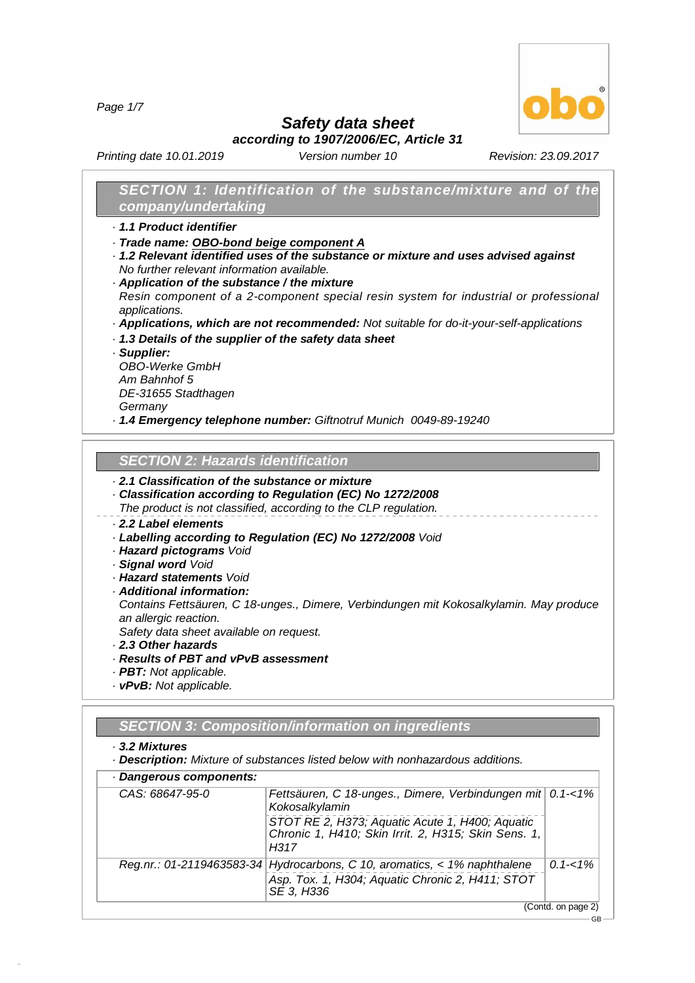*Page 1/7*



GB

*Safety data sheet*

*according to 1907/2006/EC, Article 31*

*Printing date 10.01.2019 Version number 10 Revision: 23.09.2017*

## *SECTION 1: Identification of the substance/mixture and of the company/undertaking*

- *· 1.1 Product identifier*
- *· Trade name: OBO-bond beige component A*
- *· 1.2 Relevant identified uses of the substance or mixture and uses advised against No further relevant information available.*
- *· Application of the substance / the mixture Resin component of a 2-component special resin system for industrial or professional applications.*
- *· Applications, which are not recommended: Not suitable for do-it-your-self-applications*
- *· 1.3 Details of the supplier of the safety data sheet*
- *· Supplier:*

*OBO-Werke GmbH Am Bahnhof 5 DE-31655 Stadthagen Germany*

*· 1.4 Emergency telephone number: Giftnotruf Munich 0049-89-19240*

## *SECTION 2:Hazards identification*

## *· 2.1 Classification of the substance or mixture*

- *· Classification according to Regulation (EC) No 1272/2008*
- *The product is not classified, according to the CLP regulation.*

## *· 2.2 Label elements*

- *· Labelling according to Regulation (EC) No 1272/2008 Void*
- *· Hazard pictograms Void*
- *· Signal word Void*
- *· Hazard statements Void*
- *· Additional information:*

*Contains Fettsäuren, C 18-unges., Dimere, Verbindungen mit Kokosalkylamin. May produce an allergic reaction.*

*Safety data sheet available on request.*

- *· 2.3 Other hazards*
- *· Results of PBT and vPvB assessment*
- *· PBT: Not applicable.*
- *· vPvB: Not applicable.*

## *SECTION 3:Composition/information on ingredients*

#### *· 3.2 Mixtures*

48.0.6

*· Description: Mixture of substances listed below with nonhazardous additions.*

| CAS: 68647-95-0 | Fettsäuren, C 18-unges., Dimere, Verbindungen mit 0.1-<1%<br>Kokosalkylamin                                                                 |             |
|-----------------|---------------------------------------------------------------------------------------------------------------------------------------------|-------------|
|                 | STOT RE 2, H373; Aquatic Acute 1, H400; Aquatic<br>Chronic 1, H410; Skin Irrit. 2, H315; Skin Sens. 1,<br>H317                              |             |
|                 | Reg.nr.: 01-2119463583-34 Hydrocarbons, C 10, aromatics, < 1% naphthalene<br>Asp. Tox. 1, H304; Aquatic Chronic 2, H411; STOT<br>SE 3, H336 | $0.1 - 1\%$ |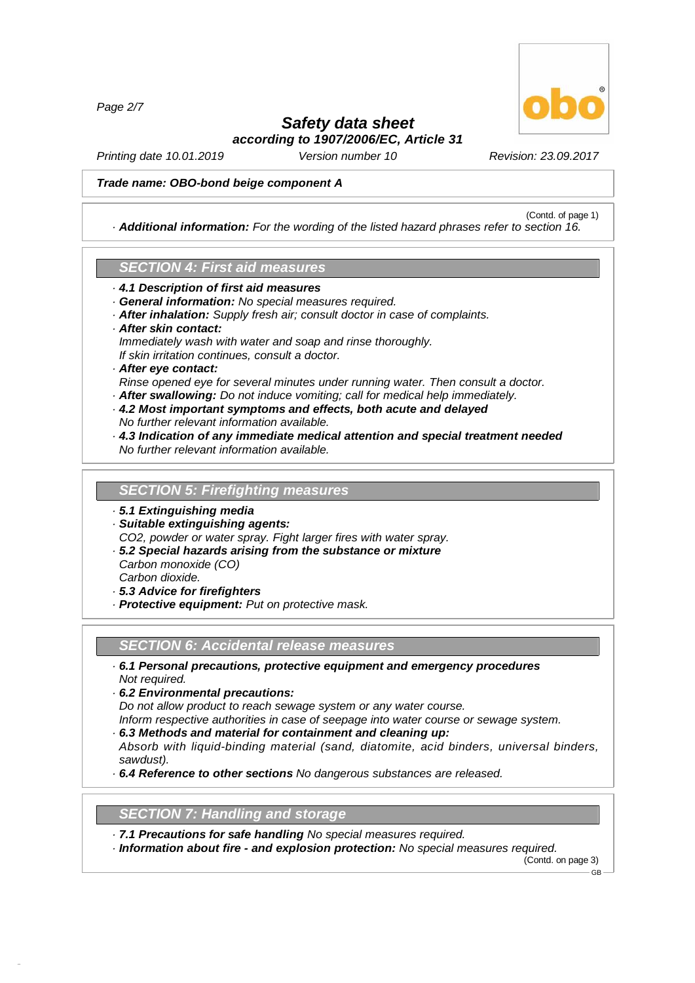*Page 2/7*



(Contd. of page 1)

## *Safety data sheet according to 1907/2006/EC, Article 31*

*Printing date 10.01.2019 Version number 10 Revision: 23.09.2017*

#### *Trade name: OBO-bond beige component A*

*· Additional information: For the wording of the listed hazard phrases refer to section 16.*

## *SECTION 4:First aid measures*

- *· 4.1 Description of first aid measures*
- *· General information: No special measures required.*
- *· After inhalation: Supply fresh air; consult doctor in case of complaints.*
- *· After skin contact:*
- *Immediately wash with water and soap and rinse thoroughly.*
- *If skin irritation continues, consult a doctor.*

## *· After eye contact:*

- *Rinse opened eye for several minutes under running water. Then consult a doctor.*
- *· After swallowing: Do not induce vomiting; call for medical help immediately.*
- *· 4.2 Most important symptoms and effects, both acute and delayed No further relevant information available.*
- *· 4.3 Indication of any immediate medical attention and special treatment needed No further relevant information available.*

#### **SECTION 5: Firefighting measures**

- *· 5.1 Extinguishing media*
- *· Suitable extinguishing agents: CO2, powder or water spray. Fight larger fires with water spray.*
- *· 5.2 Special hazards arising from the substance or mixture*
- *Carbon monoxide (CO) Carbon dioxide.*

48.0.6

- *· 5.3 Advice for firefighters*
- *· Protective equipment: Put on protective mask.*

### *SECTION 6:Accidental release measures*

- *· 6.1 Personal precautions, protective equipment and emergency procedures Not required.*
- *· 6.2 Environmental precautions:*

*Do not allow product to reach sewage system or any water course.*

- *Inform respective authorities in case of seepage into water course or sewage system.*
- *· 6.3 Methods and material for containment and cleaning up:*
- *Absorb with liquid-binding material (sand, diatomite, acid binders, universal binders, sawdust).*
- *· 6.4 Reference to other sections No dangerous substances are released.*

## **SECTION 7: Handling and storage**

- *· 7.1 Precautions for safe handling No special measures required.*
- *· Information about fire - and explosion protection: No special measures required.*

(Contd. on page 3) GB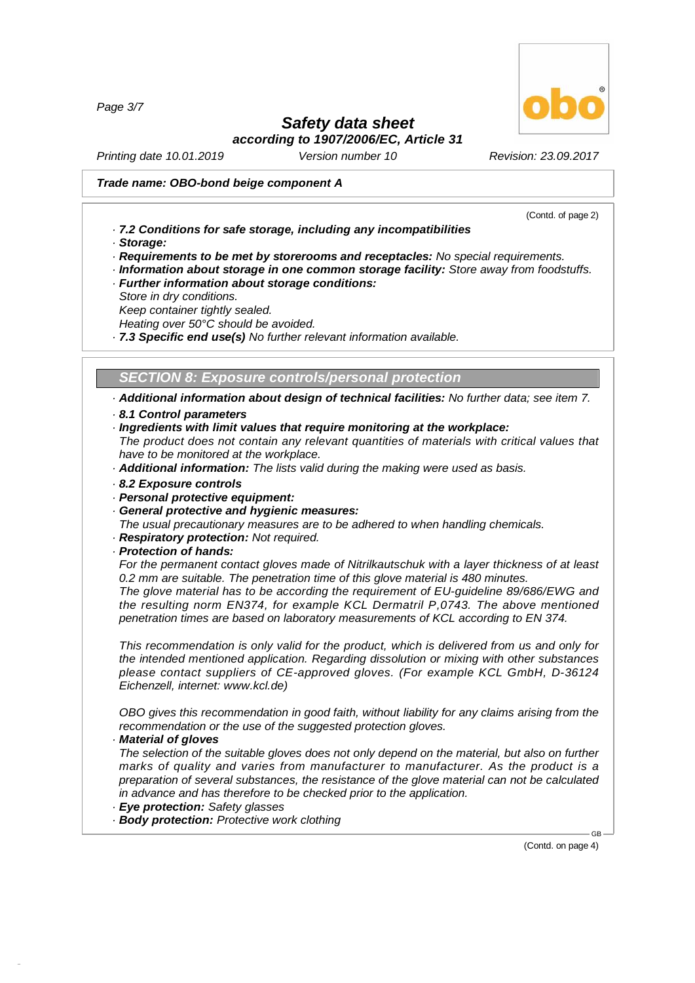*Page 3/7*

# *Safety data sheet*

*according to 1907/2006/EC, Article 31*

*Printing date 10.01.2019 Version number 10 Revision: 23.09.2017*

### *Trade name: OBO-bond beige component A*

(Contd. of page 2)

- *· 7.2 Conditions for safe storage, including any incompatibilities*
- *· Storage:*
- *· Requirements to be met by storerooms and receptacles: No special requirements.*
- *· Information about storage in one common storage facility: Store away from foodstuffs.*
- *· Further information about storage conditions:*
- *Store in dry conditions.*
- *Keep container tightly sealed.*

*Heating over 50°C should be avoided.*

*· 7.3 Specific end use(s) No further relevant information available.*

*SECTION 8:Exposure controls/personal protection*

*· Additional information about design of technical facilities: No further data; see item 7. · 8.1 Control parameters*

- 
- *· Ingredients with limit values that require monitoring at the workplace:*

*The product does not contain any relevant quantities of materials with critical values that have to be monitored at the workplace.*

- *· Additional information: The lists valid during the making were used as basis.*
- *· 8.2 Exposure controls*
- *· Personal protective equipment:*
- *· General protective and hygienic measures:*
- *The usual precautionary measures are to be adhered to when handling chemicals.*
- *· Respiratory protection: Not required.*
- *· Protection of hands:*

*For the permanent contact gloves made of Nitrilkautschuk with a layer thickness of at least 0.2 mm are suitable. The penetration time of this glove material is 480 minutes.*

*The glove material has to be according the requirement of EU-guideline 89/686/EWG and the resulting norm EN374, for example KCL Dermatril P,0743. The above mentioned penetration times are based on laboratory measurements of KCL according to EN 374.*

*This recommendation is only valid for the product, which is delivered from us and only for the intended mentioned application. Regarding dissolution or mixing with other substances please contact suppliers of CE-approved gloves. (For example KCL GmbH, D-36124 Eichenzell, internet: [www.kcl.de\)](	)*

*OBO gives this recommendation in good faith, without liability for any claims arising from the recommendation or the use of the suggested protection gloves.*

*· Material of gloves*

48.0.6

*The selection of the suitable gloves does not only depend on the material, but also on further marks of quality and varies from manufacturer to manufacturer. As the product is a preparation of several substances, the resistance of the glove material can not be calculated in advance and has therefore to be checked prior to the application.*

- *· Eye protection: Safety glasses*
- *· Body protection: Protective work clothing*

(Contd. on page 4)

GB

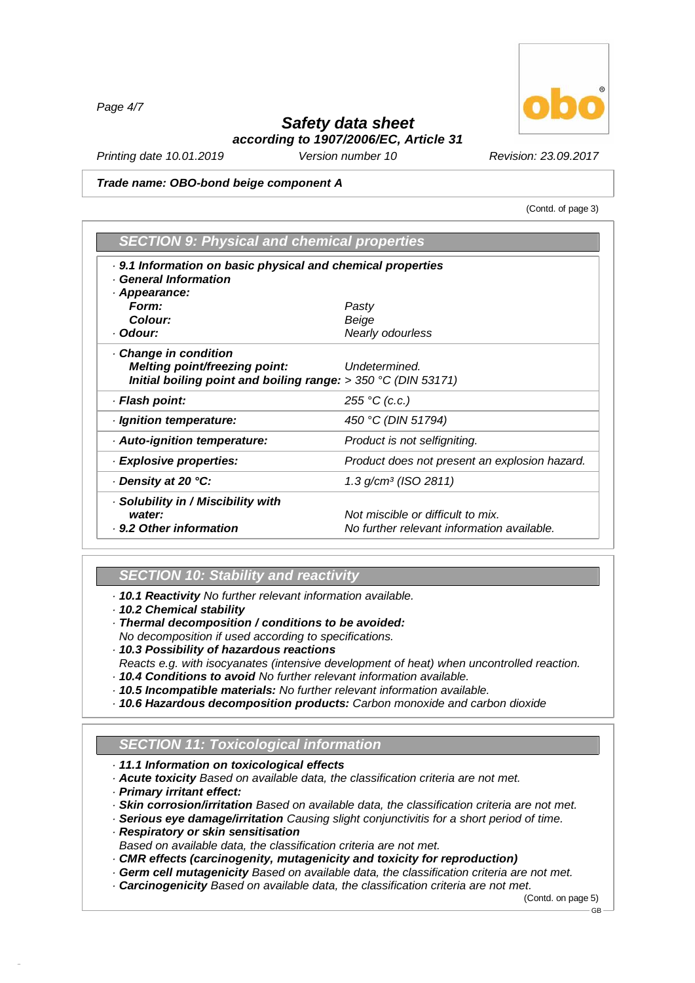*Page 4/7*

## *Safety data sheet according to 1907/2006/EC, Article 31*

*Printing date 10.01.2019 Version number 10 Revision: 23.09.2017*

#### *Trade name: OBO-bond beige component A*

(Contd. of page 3)

| <b>SECTION 9: Physical and chemical properties</b>                                        |                                               |  |  |  |
|-------------------------------------------------------------------------------------------|-----------------------------------------------|--|--|--|
| . 9.1 Information on basic physical and chemical properties<br><b>General Information</b> |                                               |  |  |  |
| Appearance:                                                                               |                                               |  |  |  |
| Form:                                                                                     | Pasty                                         |  |  |  |
| Colour:                                                                                   | Beige                                         |  |  |  |
| · Odour:                                                                                  | Nearly odourless                              |  |  |  |
| Change in condition                                                                       |                                               |  |  |  |
| Melting point/freezing point:                                                             | Undetermined.                                 |  |  |  |
| Initial boiling point and boiling range: $> 350$ °C (DIN 53171)                           |                                               |  |  |  |
| · Flash point:                                                                            | 255 °C (c.c.)                                 |  |  |  |
| · Ignition temperature:                                                                   | 450 °C (DIN 51794)                            |  |  |  |
| Auto-ignition temperature:                                                                | Product is not selfigniting.                  |  |  |  |
| · Explosive properties:                                                                   | Product does not present an explosion hazard. |  |  |  |
| Density at 20 °C:                                                                         | $1.3$ g/cm <sup>3</sup> (ISO 2811)            |  |  |  |
| Solubility in / Miscibility with                                                          |                                               |  |  |  |
| water:                                                                                    | Not miscible or difficult to mix.             |  |  |  |
| . 9.2 Other information                                                                   | No further relevant information available.    |  |  |  |

## *SECTION 10: Stability and reactivity*

*· 10.1 Reactivity No further relevant information available.*

- *· 10.2 Chemical stability*
- *· Thermal decomposition / conditions to be avoided:*
- *No decomposition if used according to specifications.*
- *· 10.3 Possibility of hazardous reactions*
- *Reacts e.g. with isocyanates (intensive development of heat) when uncontrolled reaction. · 10.4 Conditions to avoid No further relevant information available.*
- *· 10.5 Incompatible materials: No further relevant information available.*
- *· 10.6 Hazardous decomposition products: Carbon monoxide and carbon dioxide*

## *SECTION 11: Toxicological information*

- *· 11.1 Information on toxicological effects*
- *· Acute toxicity Based on available data, the classification criteria are not met.*
- *· Primary irritant effect:*

48.0.6

- *· Skin corrosion/irritation Based on available data, the classification criteria are not met.*
- *· Serious eye damage/irritation Causing slight conjunctivitis for a short period of time.*
- *· Respiratory or skin sensitisation*
- *Based on available data, the classification criteria are not met.*
- *· CMR effects (carcinogenity, mutagenicity and toxicity for reproduction)*
- *· Germ cellmutagenicity Based on available data, the classification criteria are not met.*
- *· Carcinogenicity Based on available data, the classification criteria are not met.*

(Contd. on page 5) GB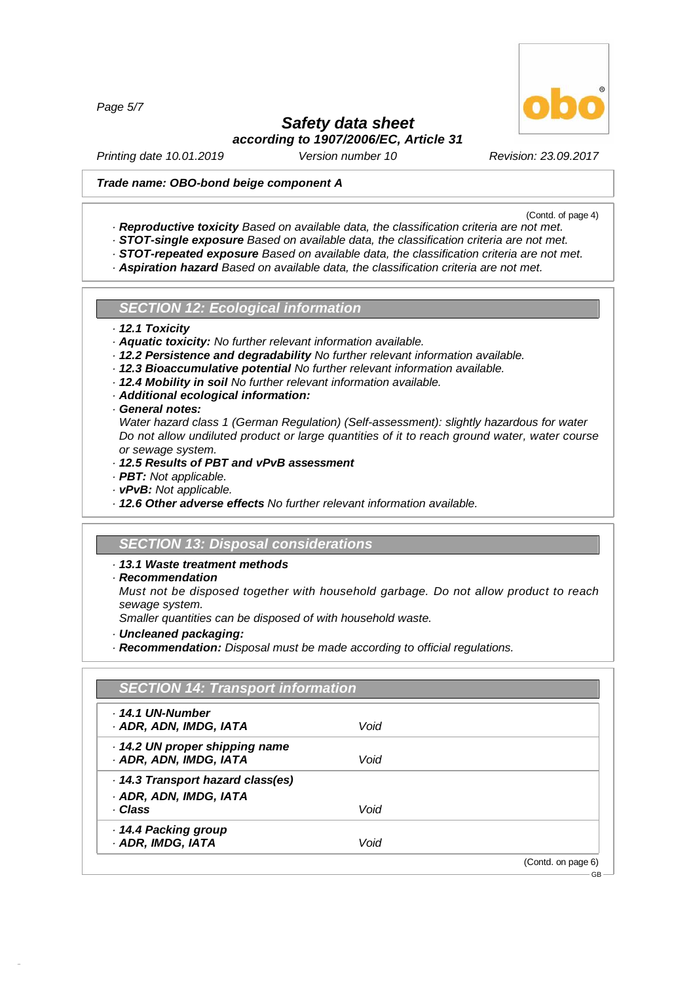*Page 5/7*

# *Safety data sheet*

*according to 1907/2006/EC, Article 31*

*Printing date 10.01.2019 Version number 10 Revision: 23.09.2017*

## *Trade name: OBO-bond beige component A*

(Contd. of page 4)

- *· Reproductive toxicity Based on available data, the classification criteria are not met.*
- *· STOT-single exposure Based on available data, the classification criteria are not met.*
- *· STOT-repeated exposure Based on available data, the classification criteria are not met.*
- *· Aspiration hazard Based on available data, the classification criteria are not met.*

### *SECTION 12: Ecological information*

- *· 12.1 Toxicity*
- *· Aquatic toxicity: No further relevant information available.*
- *· 12.2 Persistence and degradability No further relevant information available.*
- *· 12.3 Bioaccumulative potential No further relevant information available.*
- *· 12.4 Mobility in soil No further relevant information available.*
- *· Additional ecological information:*
- *· General notes:*
- *Water hazard class 1 (German Regulation) (Self-assessment): slightly hazardous for water Do not allow undiluted product or large quantities of it to reach ground water, water course or sewage system.*
- *· 12.5 Results of PBT and vPvB assessment*
- *· PBT: Not applicable.*
- *· vPvB: Not applicable.*
- *· 12.6 Other adverse effects No further relevant information available.*

### *SECTION 13: Disposal considerations*

### *· 13.1 Waste treatment methods*

*· Recommendation*

48.0.6

*Must not be disposed together with household garbage. Do not allow product to reach sewage system.*

*Smaller quantities can be disposed of with household waste.*

- *· Uncleaned packaging:*
- *· Recommendation: Disposal must be made according to official regulations.*

| $.14.1$ UN-Number                 |      |  |
|-----------------------------------|------|--|
| · ADR, ADN, IMDG, IATA            | Void |  |
| 14.2 UN proper shipping name      |      |  |
| · ADR, ADN, IMDG, IATA            | Void |  |
| · 14.3 Transport hazard class(es) |      |  |
| · ADR, ADN, IMDG, IATA            |      |  |
| · Class                           | Void |  |
| · 14.4 Packing group              |      |  |
| · ADR, IMDG, IATA                 | Void |  |

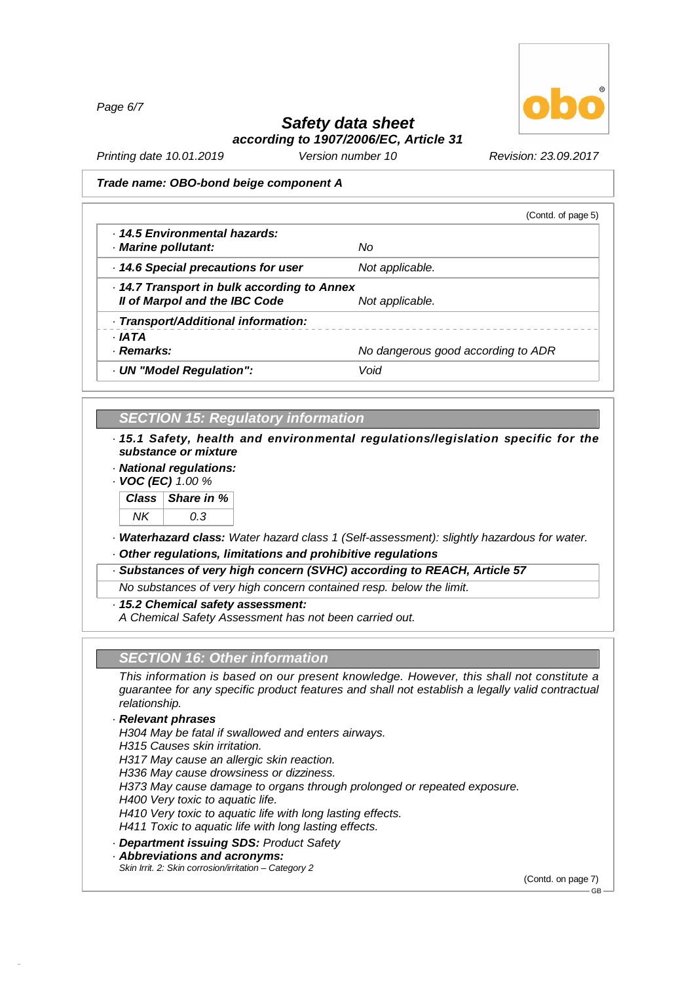*Page 6/7*



# *Safety data sheet*

*according to 1907/2006/EC, Article 31*

*Printing date 10.01.2019 Version number 10 Revision: 23.09.2017*

#### *Trade name: OBO-bond beige component A*

|                                                      | (Contd. of page 5)                 |  |
|------------------------------------------------------|------------------------------------|--|
| . 14.5 Environmental hazards:<br>· Marine pollutant: | No                                 |  |
|                                                      |                                    |  |
| 14.6 Special precautions for user                    | Not applicable.                    |  |
| 14.7 Transport in bulk according to Annex            |                                    |  |
| Il of Marpol and the IBC Code                        | Not applicable.                    |  |
| · Transport/Additional information:                  |                                    |  |
| · IATA                                               |                                    |  |
| · Remarks:                                           | No dangerous good according to ADR |  |
| · UN "Model Regulation":                             | Void                               |  |

### *SECTION 15: Regulatory information*

*· 15.1 Safety, health and environmental regulations/legislation specific for the substance or mixture*

*· National regulations:*

*· VOC (EC) 1.00 %*



*· Waterhazard class: Water hazard class 1 (Self-assessment): slightly hazardous for water. · Other regulations, limitations and prohibitive regulations*

*· Substances of very high concern (SVHC) according to REACH, Article 57*

*No substances of very high concern contained resp. below the limit.*

*· 15.2 Chemical safety assessment:*

*A Chemical Safety Assessment has not been carried out.*

## *SECTION 16: Other information*

*This information is based on our present knowledge. However, this shall not constitute a guarantee for any specific product features and shall not establish a legally valid contractual relationship.*

#### *· Relevant phrases*

48.0.6

*H304 May be fatal if swallowed and enters airways.*

*H315 Causes skin irritation.*

*H317 May cause an allergic skin reaction.*

*H336 May cause drowsiness or dizziness.*

*H373 May cause damage to organs through prolonged or repeated exposure.*

*H400 Very toxic to aquatic life.*

*H410 Very toxic to aquatic life with long lasting effects.*

*H411 Toxic to aquatic life with long lasting effects.*

*· Department issuing SDS: Product Safety*

*· Abbreviations and acronyms:*

*Skin Irrit. 2: Skin corrosion/irritation –Category 2*

(Contd. on page 7)

GB